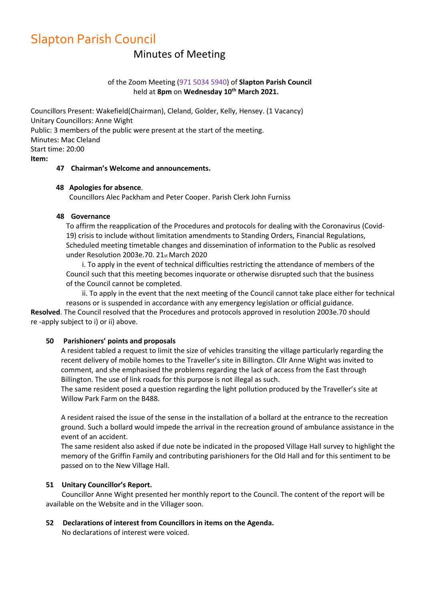# Slapton Parish Council

# Minutes of Meeting

# of the Zoom Meeting (971 5034 5940) of **Slapton Parish Council** held at **8pm** on **Wednesday 10th March 2021.**

Councillors Present: Wakefield(Chairman), Cleland, Golder, Kelly, Hensey. (1 Vacancy) Unitary Councillors: Anne Wight Public: 3 members of the public were present at the start of the meeting. Minutes: Mac Cleland Start time: 20:00 **Item:**

#### **47 Chairman's Welcome and announcements.**

#### **48 Apologies for absence**.

Councillors Alec Packham and Peter Cooper. Parish Clerk John Furniss

#### **48 Governance**

To affirm the reapplication of the Procedures and protocols for dealing with the Coronavirus (Covid-19) crisis to include without limitation amendments to Standing Orders, Financial Regulations, Scheduled meeting timetable changes and dissemination of information to the Public as resolved under Resolution 2003e.70. 21st March 2020

i. To apply in the event of technical difficulties restricting the attendance of members of the Council such that this meeting becomes inquorate or otherwise disrupted such that the business of the Council cannot be completed.

ii. To apply in the event that the next meeting of the Council cannot take place either for technical reasons or is suspended in accordance with any emergency legislation or official guidance. **Resolved**. The Council resolved that the Procedures and protocols approved in resolution 2003e.70 should re -apply subject to i) or ii) above.

#### **50 Parishioners' points and proposals**

A resident tabled a request to limit the size of vehicles transiting the village particularly regarding the recent delivery of mobile homes to the Traveller's site in Billington. Cllr Anne Wight was invited to comment, and she emphasised the problems regarding the lack of access from the East through Billington. The use of link roads for this purpose is not illegal as such.

The same resident posed a question regarding the light pollution produced by the Traveller's site at Willow Park Farm on the B488.

A resident raised the issue of the sense in the installation of a bollard at the entrance to the recreation ground. Such a bollard would impede the arrival in the recreation ground of ambulance assistance in the event of an accident.

The same resident also asked if due note be indicated in the proposed Village Hall survey to highlight the memory of the Griffin Family and contributing parishioners for the Old Hall and for this sentiment to be passed on to the New Village Hall.

#### **51 Unitary Councillor's Report.**

 Councillor Anne Wight presented her monthly report to the Council. The content of the report will be available on the Website and in the Villager soon.

#### **52 Declarations of interest from Councillors in items on the Agenda.**

No declarations of interest were voiced.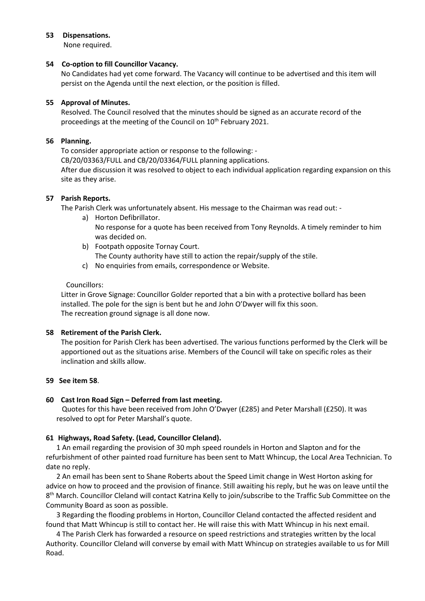#### **53 Dispensations.**

None required.

# **54 Co-option to fill Councillor Vacancy.**

No Candidates had yet come forward. The Vacancy will continue to be advertised and this item will persist on the Agenda until the next election, or the position is filled.

# **55 Approval of Minutes.**

Resolved. The Council resolved that the minutes should be signed as an accurate record of the proceedings at the meeting of the Council on 10<sup>th</sup> February 2021.

# **56 Planning.**

To consider appropriate action or response to the following: -

CB/20/03363/FULL and CB/20/03364/FULL planning applications.

After due discussion it was resolved to object to each individual application regarding expansion on this site as they arise.

# **57 Parish Reports.**

The Parish Clerk was unfortunately absent. His message to the Chairman was read out: -

- a) Horton Defibrillator. No response for a quote has been received from Tony Reynolds. A timely reminder to him was decided on.
- b) Footpath opposite Tornay Court. The County authority have still to action the repair/supply of the stile.
- c) No enquiries from emails, correspondence or Website.

# Councillors:

Litter in Grove Signage: Councillor Golder reported that a bin with a protective bollard has been installed. The pole for the sign is bent but he and John O'Dwyer will fix this soon. The recreation ground signage is all done now.

# **58 Retirement of the Parish Clerk.**

The position for Parish Clerk has been advertised. The various functions performed by the Clerk will be apportioned out as the situations arise. Members of the Council will take on specific roles as their inclination and skills allow.

# **59 See item 58**.

# **60 Cast Iron Road Sign – Deferred from last meeting.**

Quotes for this have been received from John O'Dwyer (£285) and Peter Marshall (£250). It was resolved to opt for Peter Marshall's quote.

# **61 Highways, Road Safety. (Lead, Councillor Cleland).**

1 An email regarding the provision of 30 mph speed roundels in Horton and Slapton and for the refurbishment of other painted road furniture has been sent to Matt Whincup, the Local Area Technician. To date no reply.

2 An email has been sent to Shane Roberts about the Speed Limit change in West Horton asking for advice on how to proceed and the provision of finance. Still awaiting his reply, but he was on leave until the 8<sup>th</sup> March. Councillor Cleland will contact Katrina Kelly to join/subscribe to the Traffic Sub Committee on the Community Board as soon as possible.

3 Regarding the flooding problems in Horton, Councillor Cleland contacted the affected resident and found that Matt Whincup is still to contact her. He will raise this with Matt Whincup in his next email.

4 The Parish Clerk has forwarded a resource on speed restrictions and strategies written by the local Authority. Councillor Cleland will converse by email with Matt Whincup on strategies available to us for Mill Road.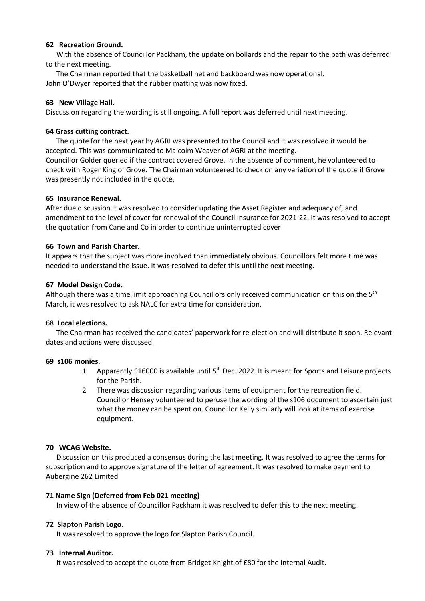#### **62 Recreation Ground.**

With the absence of Councillor Packham, the update on bollards and the repair to the path was deferred to the next meeting.

The Chairman reported that the basketball net and backboard was now operational. John O'Dwyer reported that the rubber matting was now fixed.

# **63 New Village Hall.**

Discussion regarding the wording is still ongoing. A full report was deferred until next meeting.

#### **64 Grass cutting contract.**

The quote for the next year by AGRI was presented to the Council and it was resolved it would be accepted. This was communicated to Malcolm Weaver of AGRI at the meeting. Councillor Golder queried if the contract covered Grove. In the absence of comment, he volunteered to check with Roger King of Grove. The Chairman volunteered to check on any variation of the quote if Grove was presently not included in the quote.

# **65 Insurance Renewal.**

After due discussion it was resolved to consider updating the Asset Register and adequacy of, and amendment to the level of cover for renewal of the Council Insurance for 2021-22. It was resolved to accept the quotation from Cane and Co in order to continue uninterrupted cover

# **66 Town and Parish Charter.**

It appears that the subject was more involved than immediately obvious. Councillors felt more time was needed to understand the issue. It was resolved to defer this until the next meeting.

# **67 Model Design Code.**

Although there was a time limit approaching Councillors only received communication on this on the 5<sup>th</sup> March, it was resolved to ask NALC for extra time for consideration.

# 68 **Local elections.**

The Chairman has received the candidates' paperwork for re-election and will distribute it soon. Relevant dates and actions were discussed.

#### **69 s106 monies.**

- 1 Apparently £16000 is available until 5<sup>th</sup> Dec. 2022. It is meant for Sports and Leisure projects for the Parish.
- 2 There was discussion regarding various items of equipment for the recreation field. Councillor Hensey volunteered to peruse the wording of the s106 document to ascertain just what the money can be spent on. Councillor Kelly similarly will look at items of exercise equipment.

# **70 WCAG Website.**

Discussion on this produced a consensus during the last meeting. It was resolved to agree the terms for subscription and to approve signature of the letter of agreement. It was resolved to make payment to Aubergine 262 Limited

# **71 Name Sign (Deferred from Feb 021 meeting)**

In view of the absence of Councillor Packham it was resolved to defer this to the next meeting.

# **72 Slapton Parish Logo.**

It was resolved to approve the logo for Slapton Parish Council.

#### **73 Internal Auditor.**

It was resolved to accept the quote from Bridget Knight of £80 for the Internal Audit.